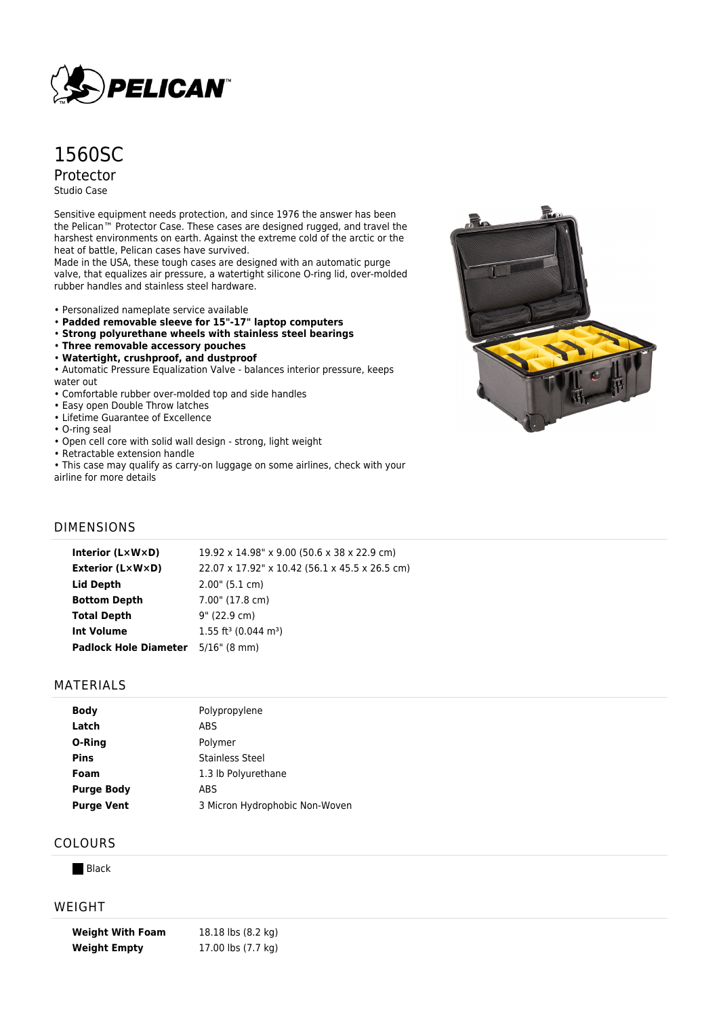

# 1560SC Protector Studio Case

Sensitive equipment needs protection, and since 1976 the answer has been the Pelican™ Protector Case. These cases are designed rugged, and travel the harshest environments on earth. Against the extreme cold of the arctic or the heat of battle, Pelican cases have survived.

Made in the USA, these tough cases are designed with an automatic purge valve, that equalizes air pressure, a watertight silicone O-ring lid, over-molded rubber handles and stainless steel hardware.

- Personalized nameplate service available
- **Padded removable sleeve for 15"-17" laptop computers**
- **Strong polyurethane wheels with stainless steel bearings**
- **Three removable accessory pouches**
- **Watertight, crushproof, and dustproof**

• Automatic Pressure Equalization Valve - balances interior pressure, keeps water out

- Comfortable rubber over-molded top and side handles
- Easy open Double Throw latches
- Lifetime Guarantee of Excellence
- O-ring seal
- Open cell core with solid wall design strong, light weight
- Retractable extension handle
- This case may qualify as carry-on luggage on some airlines, check with your

airline for more details



#### DIMENSIONS

| Interior (LxWxD)                          | 19.92 x 14.98" x 9.00 (50.6 x 38 x 22.9 cm)    |
|-------------------------------------------|------------------------------------------------|
| <b>Exterior (L×W×D)</b>                   | 22.07 x 17.92" x 10.42 (56.1 x 45.5 x 26.5 cm) |
| <b>Lid Depth</b>                          | $2.00$ " (5.1 cm)                              |
| <b>Bottom Depth</b>                       | 7.00" (17.8 cm)                                |
| <b>Total Depth</b>                        | 9" (22.9 cm)                                   |
| <b>Int Volume</b>                         | $1.55$ ft <sup>3</sup> (0.044 m <sup>3</sup> ) |
| <b>Padlock Hole Diameter</b> 5/16" (8 mm) |                                                |
|                                           |                                                |

#### MATERIALS

| <b>Body</b>       | Polypropylene                  |
|-------------------|--------------------------------|
| Latch             | ABS                            |
| O-Ring            | Polymer                        |
| <b>Pins</b>       | Stainless Steel                |
| Foam              | 1.3 lb Polyurethane            |
| <b>Purge Body</b> | ABS                            |
| <b>Purge Vent</b> | 3 Micron Hydrophobic Non-Woven |
|                   |                                |

#### COLOURS

**Black** 

### WEIGHT

**Weight With Foam** 18.18 lbs (8.2 kg) **Weight Empty** 17.00 lbs (7.7 kg)